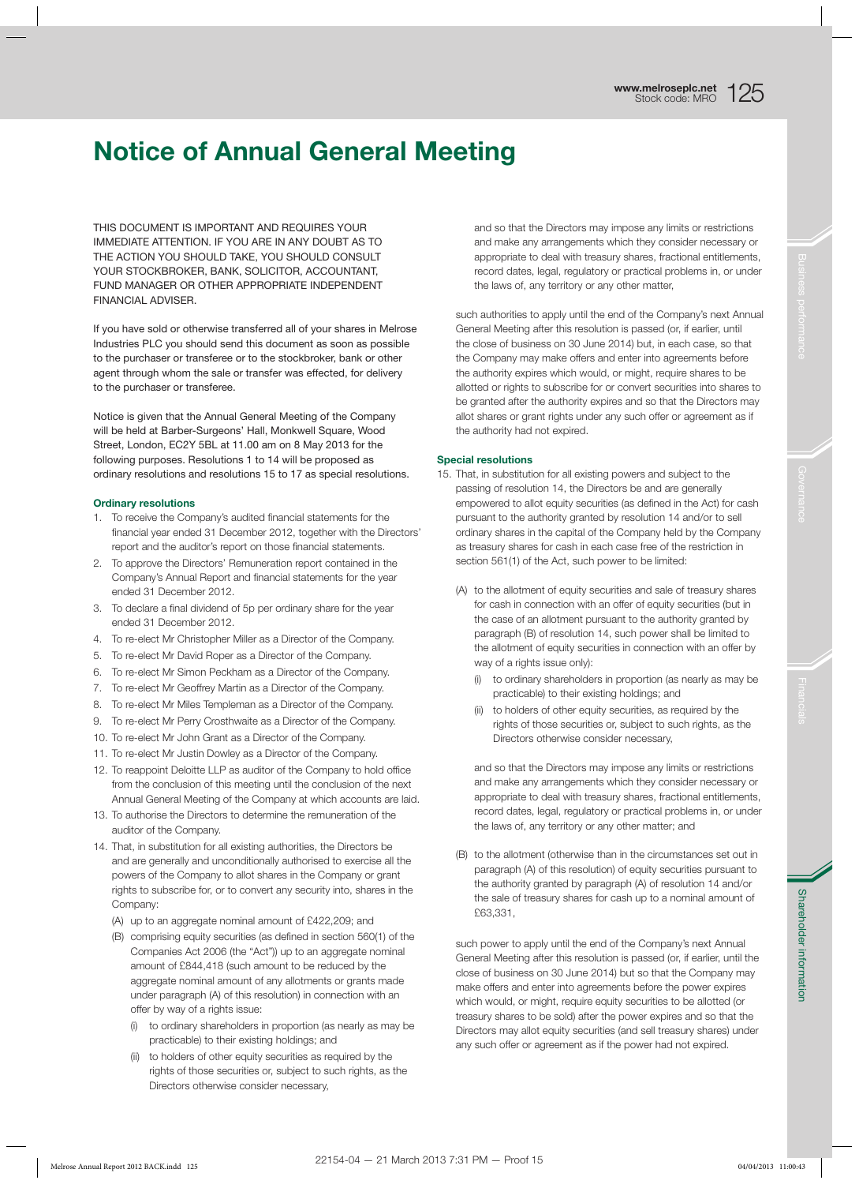# Notice of Annual General Meeting

THIS DOCUMENT IS IMPORTANT AND REQUIRES YOUR IMMEDIATE ATTENTION. IF YOU ARE IN ANY DOUBT AS TO THE ACTION YOU SHOULD TAKE, YOU SHOULD CONSULT YOUR STOCKBROKER, BANK, SOLICITOR, ACCOUNTANT, FUND MANAGER OR OTHER APPROPRIATE INDEPENDENT FINANCIAL ADVISER.

If you have sold or otherwise transferred all of your shares in Melrose Industries PLC you should send this document as soon as possible to the purchaser or transferee or to the stockbroker, bank or other agent through whom the sale or transfer was effected, for delivery to the purchaser or transferee.

Notice is given that the Annual General Meeting of the Company will be held at Barber-Surgeons' Hall, Monkwell Square, Wood Street, London, EC2Y 5BL at 11.00 am on 8 May 2013 for the following purposes. Resolutions 1 to 14 will be proposed as ordinary resolutions and resolutions 15 to 17 as special resolutions.

### Ordinary resolutions

- 1. To receive the Company's audited financial statements for the financial year ended 31 December 2012, together with the Directors' report and the auditor's report on those financial statements.
- 2. To approve the Directors' Remuneration report contained in the Company's Annual Report and financial statements for the year ended 31 December 2012.
- 3. To declare a final dividend of 5p per ordinary share for the year ended 31 December 2012.
- 4. To re-elect Mr Christopher Miller as a Director of the Company.
- 5. To re-elect Mr David Roper as a Director of the Company.
- 6. To re-elect Mr Simon Peckham as a Director of the Company.
- 7. To re-elect Mr Geoffrey Martin as a Director of the Company.
- 8. To re-elect Mr Miles Templeman as a Director of the Company.
- 9. To re-elect Mr Perry Crosthwaite as a Director of the Company.
- 10. To re-elect Mr John Grant as a Director of the Company.
- 11. To re-elect Mr Justin Dowley as a Director of the Company.
- 12. To reappoint Deloitte LLP as auditor of the Company to hold office from the conclusion of this meeting until the conclusion of the next Annual General Meeting of the Company at which accounts are laid.
- 13. To authorise the Directors to determine the remuneration of the auditor of the Company.
- 14. That, in substitution for all existing authorities, the Directors be and are generally and unconditionally authorised to exercise all the powers of the Company to allot shares in the Company or grant rights to subscribe for, or to convert any security into, shares in the Company:
	- (A) up to an aggregate nominal amount of £422,209; and
	- (B) comprising equity securities (as defined in section 560(1) of the Companies Act 2006 (the "Act")) up to an aggregate nominal amount of £844,418 (such amount to be reduced by the aggregate nominal amount of any allotments or grants made under paragraph (A) of this resolution) in connection with an offer by way of a rights issue:
		- (i) to ordinary shareholders in proportion (as nearly as may be practicable) to their existing holdings; and
		- (ii) to holders of other equity securities as required by the rights of those securities or, subject to such rights, as the Directors otherwise consider necessary,

and so that the Directors may impose any limits or restrictions and make any arrangements which they consider necessary or appropriate to deal with treasury shares, fractional entitlements, record dates, legal, regulatory or practical problems in, or under the laws of, any territory or any other matter,

such authorities to apply until the end of the Company's next Annual General Meeting after this resolution is passed (or, if earlier, until the close of business on 30 June 2014) but, in each case, so that the Company may make offers and enter into agreements before the authority expires which would, or might, require shares to be allotted or rights to subscribe for or convert securities into shares to be granted after the authority expires and so that the Directors may allot shares or grant rights under any such offer or agreement as if the authority had not expired.

#### Special resolutions

- 15. That, in substitution for all existing powers and subject to the passing of resolution 14, the Directors be and are generally empowered to allot equity securities (as defined in the Act) for cash pursuant to the authority granted by resolution 14 and/or to sell ordinary shares in the capital of the Company held by the Company as treasury shares for cash in each case free of the restriction in section 561(1) of the Act, such power to be limited:
	- (A) to the allotment of equity securities and sale of treasury shares for cash in connection with an offer of equity securities (but in the case of an allotment pursuant to the authority granted by paragraph (B) of resolution 14, such power shall be limited to the allotment of equity securities in connection with an offer by way of a rights issue only):
		- (i) to ordinary shareholders in proportion (as nearly as may be practicable) to their existing holdings; and
		- to holders of other equity securities, as required by the rights of those securities or, subject to such rights, as the Directors otherwise consider necessary,

and so that the Directors may impose any limits or restrictions and make any arrangements which they consider necessary or appropriate to deal with treasury shares, fractional entitlements, record dates, legal, regulatory or practical problems in, or under the laws of, any territory or any other matter; and

(B) to the allotment (otherwise than in the circumstances set out in paragraph (A) of this resolution) of equity securities pursuant to the authority granted by paragraph (A) of resolution 14 and/or the sale of treasury shares for cash up to a nominal amount of £63,331,

such power to apply until the end of the Company's next Annual General Meeting after this resolution is passed (or, if earlier, until the close of business on 30 June 2014) but so that the Company may make offers and enter into agreements before the power expires which would, or might, require equity securities to be allotted (or treasury shares to be sold) after the power expires and so that the Directors may allot equity securities (and sell treasury shares) under any such offer or agreement as if the power had not expired.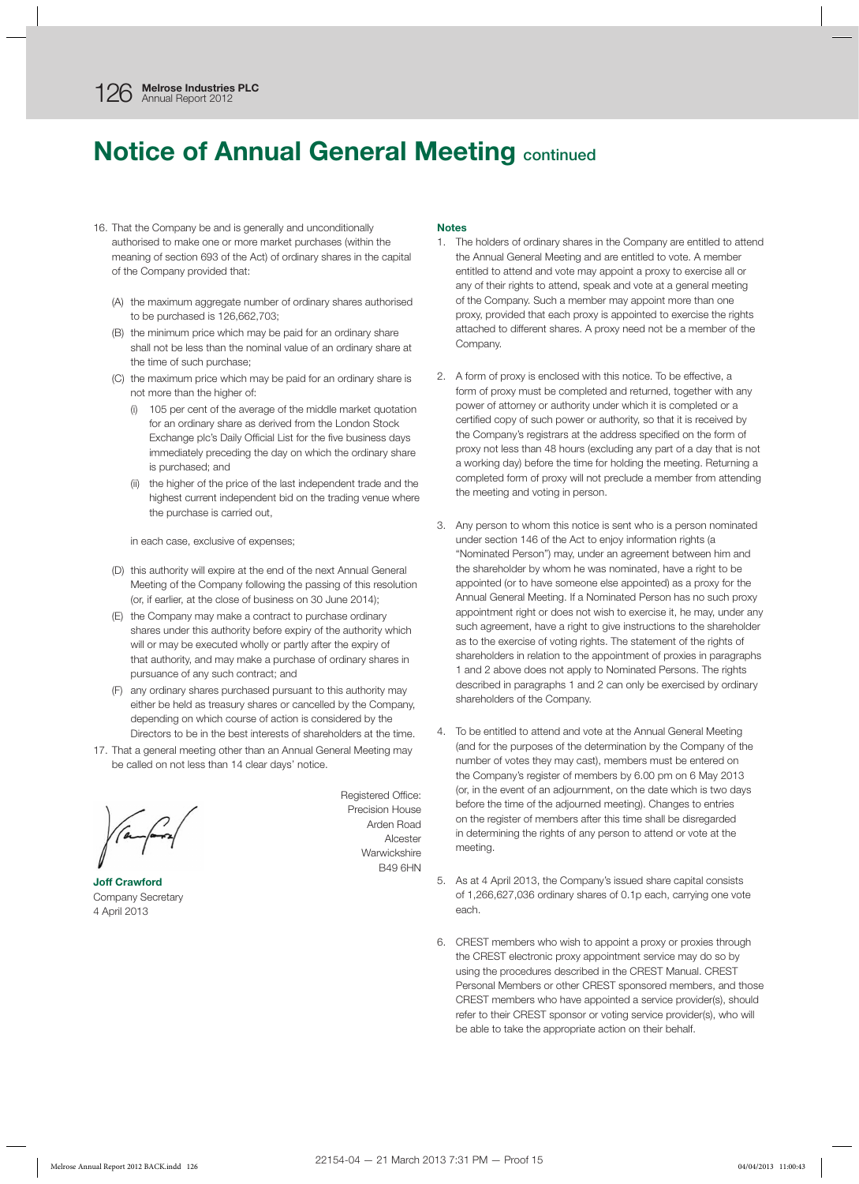## **Notice of Annual General Meeting continued**

- 16. That the Company be and is generally and unconditionally authorised to make one or more market purchases (within the meaning of section 693 of the Act) of ordinary shares in the capital of the Company provided that:
	- (A) the maximum aggregate number of ordinary shares authorised to be purchased is 126,662,703;
	- (B) the minimum price which may be paid for an ordinary share shall not be less than the nominal value of an ordinary share at the time of such purchase;
	- (C) the maximum price which may be paid for an ordinary share is not more than the higher of:
		- (i) 105 per cent of the average of the middle market quotation for an ordinary share as derived from the London Stock Exchange plc's Daily Official List for the five business days immediately preceding the day on which the ordinary share is purchased; and
		- (ii) the higher of the price of the last independent trade and the highest current independent bid on the trading venue where the purchase is carried out,

in each case, exclusive of expenses;

- (D) this authority will expire at the end of the next Annual General Meeting of the Company following the passing of this resolution (or, if earlier, at the close of business on 30 June 2014);
- (E) the Company may make a contract to purchase ordinary shares under this authority before expiry of the authority which will or may be executed wholly or partly after the expiry of that authority, and may make a purchase of ordinary shares in pursuance of any such contract; and
- (F) any ordinary shares purchased pursuant to this authority may either be held as treasury shares or cancelled by the Company, depending on which course of action is considered by the Directors to be in the best interests of shareholders at the time.
- 17. That a general meeting other than an Annual General Meeting may be called on not less than 14 clear days' notice.

Joff Crawford Company Secretary 4 April 2013

Registered Office: Precision House Arden Road Alcester **Warwickshire** B49 6HN

#### **Notes**

- 1. The holders of ordinary shares in the Company are entitled to attend the Annual General Meeting and are entitled to vote. A member entitled to attend and vote may appoint a proxy to exercise all or any of their rights to attend, speak and vote at a general meeting of the Company. Such a member may appoint more than one proxy, provided that each proxy is appointed to exercise the rights attached to different shares. A proxy need not be a member of the Company.
- 2. A form of proxy is enclosed with this notice. To be effective, a form of proxy must be completed and returned, together with any power of attorney or authority under which it is completed or a certified copy of such power or authority, so that it is received by the Company's registrars at the address specified on the form of proxy not less than 48 hours (excluding any part of a day that is not a working day) before the time for holding the meeting. Returning a completed form of proxy will not preclude a member from attending the meeting and voting in person.
- 3. Any person to whom this notice is sent who is a person nominated under section 146 of the Act to enjoy information rights (a "Nominated Person") may, under an agreement between him and the shareholder by whom he was nominated, have a right to be appointed (or to have someone else appointed) as a proxy for the Annual General Meeting. If a Nominated Person has no such proxy appointment right or does not wish to exercise it, he may, under any such agreement, have a right to give instructions to the shareholder as to the exercise of voting rights. The statement of the rights of shareholders in relation to the appointment of proxies in paragraphs 1 and 2 above does not apply to Nominated Persons. The rights described in paragraphs 1 and 2 can only be exercised by ordinary shareholders of the Company.
- 4. To be entitled to attend and vote at the Annual General Meeting (and for the purposes of the determination by the Company of the number of votes they may cast), members must be entered on the Company's register of members by 6.00 pm on 6 May 2013 (or, in the event of an adjournment, on the date which is two days before the time of the adjourned meeting). Changes to entries on the register of members after this time shall be disregarded in determining the rights of any person to attend or vote at the meeting.
- 5. As at 4 April 2013, the Company's issued share capital consists of 1,266,627,036 ordinary shares of 0.1p each, carrying one vote each.
- 6. CREST members who wish to appoint a proxy or proxies through the CREST electronic proxy appointment service may do so by using the procedures described in the CREST Manual. CREST Personal Members or other CREST sponsored members, and those CREST members who have appointed a service provider(s), should refer to their CREST sponsor or voting service provider(s), who will be able to take the appropriate action on their behalf.